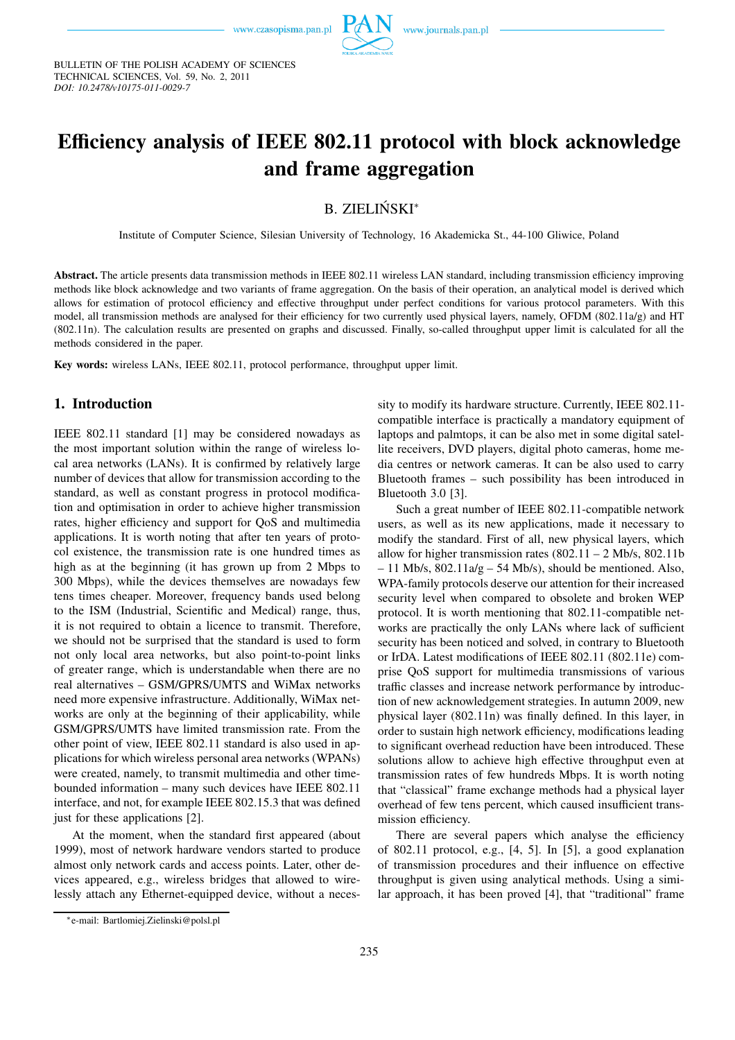

BULLETIN OF THE POLISH ACADEMY OF SCIENCES TECHNICAL SCIENCES, Vol. 59, No. 2, 2011 *DOI: 10.2478/v10175-011-0029-7*

# **Efficiency analysis of IEEE 802.11 protocol with block acknowledge and frame aggregation**

# B. ZIELIŃSKI<sup>∗</sup>

Institute of Computer Science, Silesian University of Technology, 16 Akademicka St., 44-100 Gliwice, Poland

**Abstract.** The article presents data transmission methods in IEEE 802.11 wireless LAN standard, including transmission efficiency improving methods like block acknowledge and two variants of frame aggregation. On the basis of their operation, an analytical model is derived which allows for estimation of protocol efficiency and effective throughput under perfect conditions for various protocol parameters. With this model, all transmission methods are analysed for their efficiency for two currently used physical layers, namely, OFDM (802.11a/g) and HT (802.11n). The calculation results are presented on graphs and discussed. Finally, so-called throughput upper limit is calculated for all the methods considered in the paper.

**Key words:** wireless LANs, IEEE 802.11, protocol performance, throughput upper limit.

# **1. Introduction**

IEEE 802.11 standard [1] may be considered nowadays as the most important solution within the range of wireless local area networks (LANs). It is confirmed by relatively large number of devices that allow for transmission according to the standard, as well as constant progress in protocol modification and optimisation in order to achieve higher transmission rates, higher efficiency and support for QoS and multimedia applications. It is worth noting that after ten years of protocol existence, the transmission rate is one hundred times as high as at the beginning (it has grown up from 2 Mbps to 300 Mbps), while the devices themselves are nowadays few tens times cheaper. Moreover, frequency bands used belong to the ISM (Industrial, Scientific and Medical) range, thus, it is not required to obtain a licence to transmit. Therefore, we should not be surprised that the standard is used to form not only local area networks, but also point-to-point links of greater range, which is understandable when there are no real alternatives – GSM/GPRS/UMTS and WiMax networks need more expensive infrastructure. Additionally, WiMax networks are only at the beginning of their applicability, while GSM/GPRS/UMTS have limited transmission rate. From the other point of view, IEEE 802.11 standard is also used in applications for which wireless personal area networks (WPANs) were created, namely, to transmit multimedia and other timebounded information – many such devices have IEEE 802.11 interface, and not, for example IEEE 802.15.3 that was defined just for these applications [2].

At the moment, when the standard first appeared (about 1999), most of network hardware vendors started to produce almost only network cards and access points. Later, other devices appeared, e.g., wireless bridges that allowed to wirelessly attach any Ethernet-equipped device, without a necessity to modify its hardware structure. Currently, IEEE 802.11 compatible interface is practically a mandatory equipment of laptops and palmtops, it can be also met in some digital satellite receivers, DVD players, digital photo cameras, home media centres or network cameras. It can be also used to carry Bluetooth frames – such possibility has been introduced in Bluetooth 3.0 [3].

Such a great number of IEEE 802.11-compatible network users, as well as its new applications, made it necessary to modify the standard. First of all, new physical layers, which allow for higher transmission rates  $(802.11 - 2 \text{ Mb/s}, 802.11b)$  $-11$  Mb/s, 802.11a/g  $-54$  Mb/s), should be mentioned. Also, WPA-family protocols deserve our attention for their increased security level when compared to obsolete and broken WEP protocol. It is worth mentioning that 802.11-compatible networks are practically the only LANs where lack of sufficient security has been noticed and solved, in contrary to Bluetooth or IrDA. Latest modifications of IEEE 802.11 (802.11e) comprise QoS support for multimedia transmissions of various traffic classes and increase network performance by introduction of new acknowledgement strategies. In autumn 2009, new physical layer (802.11n) was finally defined. In this layer, in order to sustain high network efficiency, modifications leading to significant overhead reduction have been introduced. These solutions allow to achieve high effective throughput even at transmission rates of few hundreds Mbps. It is worth noting that "classical" frame exchange methods had a physical layer overhead of few tens percent, which caused insufficient transmission efficiency.

There are several papers which analyse the efficiency of 802.11 protocol, e.g., [4, 5]. In [5], a good explanation of transmission procedures and their influence on effective throughput is given using analytical methods. Using a similar approach, it has been proved [4], that "traditional" frame

<sup>∗</sup>e-mail: Bartlomiej.Zielinski@polsl.pl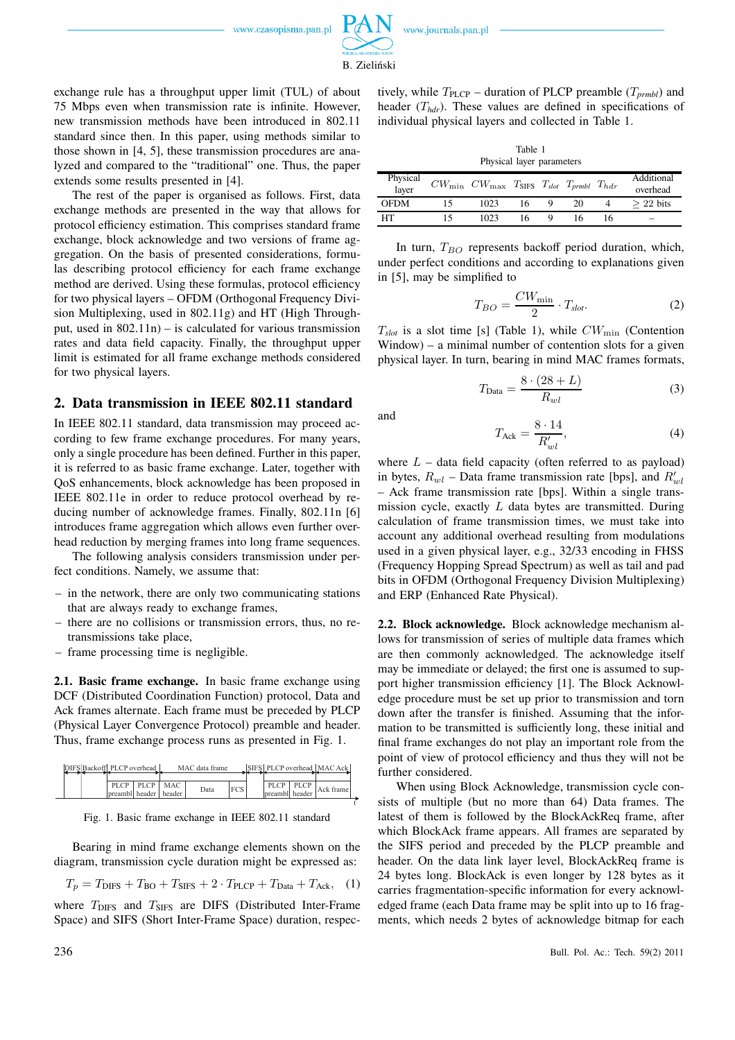

exchange rule has a throughput upper limit (TUL) of about 75 Mbps even when transmission rate is infinite. However, new transmission methods have been introduced in 802.11 standard since then. In this paper, using methods similar to those shown in [4, 5], these transmission procedures are analyzed and compared to the "traditional" one. Thus, the paper extends some results presented in [4].

The rest of the paper is organised as follows. First, data exchange methods are presented in the way that allows for protocol efficiency estimation. This comprises standard frame exchange, block acknowledge and two versions of frame aggregation. On the basis of presented considerations, formulas describing protocol efficiency for each frame exchange method are derived. Using these formulas, protocol efficiency for two physical layers – OFDM (Orthogonal Frequency Division Multiplexing, used in 802.11g) and HT (High Throughput, used in 802.11n) – is calculated for various transmission rates and data field capacity. Finally, the throughput upper limit is estimated for all frame exchange methods considered for two physical layers.

# **2. Data transmission in IEEE 802.11 standard**

In IEEE 802.11 standard, data transmission may proceed according to few frame exchange procedures. For many years, only a single procedure has been defined. Further in this paper, it is referred to as basic frame exchange. Later, together with QoS enhancements, block acknowledge has been proposed in IEEE 802.11e in order to reduce protocol overhead by reducing number of acknowledge frames. Finally, 802.11n [6] introduces frame aggregation which allows even further overhead reduction by merging frames into long frame sequences.

The following analysis considers transmission under perfect conditions. Namely, we assume that:

- in the network, there are only two communicating stations that are always ready to exchange frames,
- there are no collisions or transmission errors, thus, no retransmissions take place,
- frame processing time is negligible.

**2.1. Basic frame exchange.** In basic frame exchange using DCF (Distributed Coordination Function) protocol, Data and Ack frames alternate. Each frame must be preceded by PLCP (Physical Layer Convergence Protocol) preamble and header. Thus, frame exchange process runs as presented in Fig. 1.

| DIFS Backoff PLCP overhead |  |                          | MAC data frame |  |      |            |                  | SIFS PLCP overhead   MAC Ack |           |  |
|----------------------------|--|--------------------------|----------------|--|------|------------|------------------|------------------------------|-----------|--|
|                            |  |                          |                |  |      |            |                  |                              |           |  |
|                            |  |                          | PLCP PLCP MAC  |  | Data | <b>FCS</b> | PLCP             | PLCP                         | Ack frame |  |
|                            |  | preamble header I header |                |  |      |            | Inreambll header |                              |           |  |

Fig. 1. Basic frame exchange in IEEE 802.11 standard

Bearing in mind frame exchange elements shown on the diagram, transmission cycle duration might be expressed as:

$$
T_p = T_{\text{DIFS}} + T_{\text{BO}} + T_{\text{SIFS}} + 2 \cdot T_{\text{PLCP}} + T_{\text{Data}} + T_{\text{Ack}}, \quad (1)
$$

where  $T_{\text{DIFS}}$  and  $T_{\text{SIFS}}$  are DIFS (Distributed Inter-Frame Space) and SIFS (Short Inter-Frame Space) duration, respectively, while  $T_{PLCP}$  – duration of PLCP preamble  $(T_{prmbl})$  and header  $(T<sub>hdr</sub>)$ . These values are defined in specifications of individual physical layers and collected in Table 1.

Table 1 Physical layer parameters

| Physical<br>layer | $CW_{\min}$ $CW_{\max}$ $T_{\text{SIFS}}$ $T_{slot}$ $T_{pmbl}$ $T_{hdr}$ |    |    | Additional<br>overhead |
|-------------------|---------------------------------------------------------------------------|----|----|------------------------|
| <b>OFDM</b>       | 1023                                                                      | 16 | 20 | $>$ 22 bits            |
| HТ                | 1023                                                                      | 16 |    |                        |

In turn,  $T_{BO}$  represents backoff period duration, which, under perfect conditions and according to explanations given in [5], may be simplified to

$$
T_{BO} = \frac{CW_{\min}}{2} \cdot T_{slot}.
$$
 (2)

 $T_{slot}$  is a slot time [s] (Table 1), while  $CW_{min}$  (Contention Window) – a minimal number of contention slots for a given physical layer. In turn, bearing in mind MAC frames formats,

$$
T_{\text{Data}} = \frac{8 \cdot (28 + L)}{R_{wl}} \tag{3}
$$

$$
\mathbf{L}^{\text{max}}
$$

and

t

$$
T_{\text{ack}} = \frac{8 \cdot 14}{R'_{wl}},\tag{4}
$$

where  $L$  – data field capacity (often referred to as payload) in bytes,  $R_{wl}$  – Data frame transmission rate [bps], and  $R'_{wl}$ – Ack frame transmission rate [bps]. Within a single transmission cycle, exactly L data bytes are transmitted. During calculation of frame transmission times, we must take into account any additional overhead resulting from modulations used in a given physical layer, e.g., 32/33 encoding in FHSS (Frequency Hopping Spread Spectrum) as well as tail and pad bits in OFDM (Orthogonal Frequency Division Multiplexing) and ERP (Enhanced Rate Physical).

**2.2. Block acknowledge.** Block acknowledge mechanism allows for transmission of series of multiple data frames which are then commonly acknowledged. The acknowledge itself may be immediate or delayed; the first one is assumed to support higher transmission efficiency [1]. The Block Acknowledge procedure must be set up prior to transmission and torn down after the transfer is finished. Assuming that the information to be transmitted is sufficiently long, these initial and final frame exchanges do not play an important role from the point of view of protocol efficiency and thus they will not be further considered.

When using Block Acknowledge, transmission cycle consists of multiple (but no more than 64) Data frames. The latest of them is followed by the BlockAckReq frame, after which BlockAck frame appears. All frames are separated by the SIFS period and preceded by the PLCP preamble and header. On the data link layer level, BlockAckReq frame is 24 bytes long. BlockAck is even longer by 128 bytes as it carries fragmentation-specific information for every acknowledged frame (each Data frame may be split into up to 16 fragments, which needs 2 bytes of acknowledge bitmap for each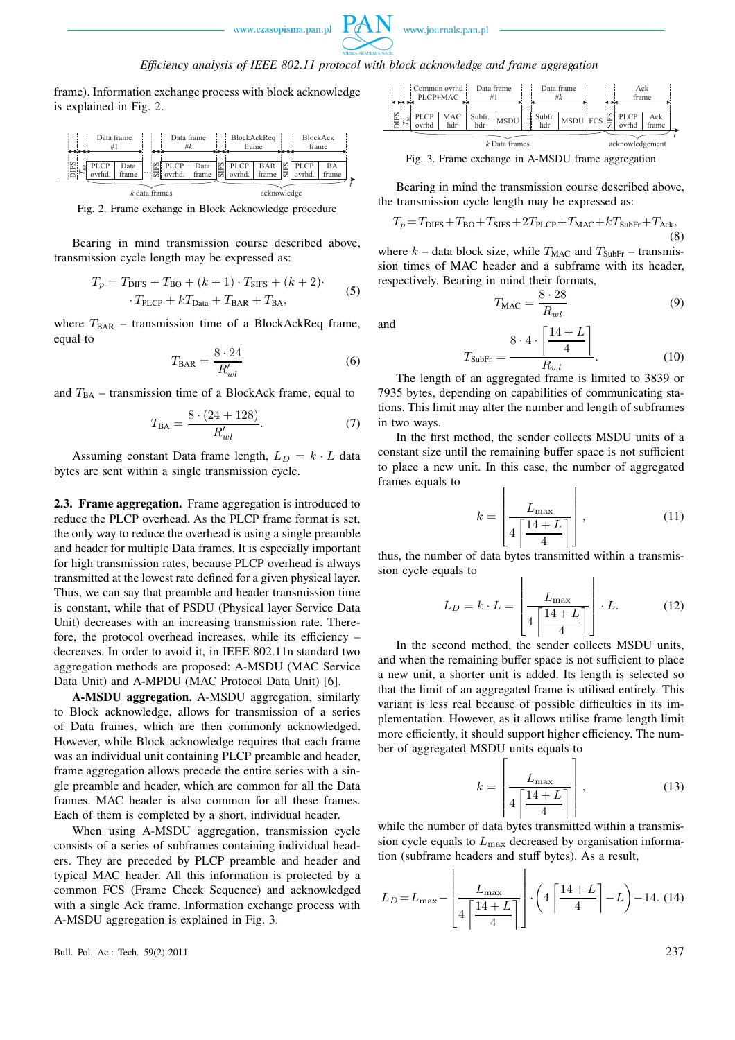

*Efficiency analysis of IEEE 802.11 protocol with block acknowledge and frame aggregation*

frame). Information exchange process with block acknowledge is explained in Fig. 2.

| Data frame      |             |       | Data frame<br>#k |                                                                                                                     | BlockAckReq<br>frame |             |  |  | BlockAck<br>frame |  |       |  |
|-----------------|-------------|-------|------------------|---------------------------------------------------------------------------------------------------------------------|----------------------|-------------|--|--|-------------------|--|-------|--|
| S.              | <b>PLCP</b> | Data  |                  | $\therefore$ $\frac{\infty}{\infty}$ PLCP Data $\frac{\infty}{\infty}$ PLCP BAR $\frac{\infty}{\infty}$ PLCP ovrhd. |                      |             |  |  |                   |  | BA    |  |
|                 | ovrhd.      | frame |                  |                                                                                                                     |                      |             |  |  |                   |  | frame |  |
|                 |             |       |                  |                                                                                                                     |                      |             |  |  |                   |  |       |  |
| $k$ data frames |             |       |                  |                                                                                                                     |                      | acknowledge |  |  |                   |  |       |  |

Fig. 2. Frame exchange in Block Acknowledge procedure

Bearing in mind transmission course described above, transmission cycle length may be expressed as:

$$
T_p = T_{\text{DIFS}} + T_{\text{BO}} + (k+1) \cdot T_{\text{SIFS}} + (k+2) \cdot
$$
  

$$
\cdot T_{\text{PLCP}} + kT_{\text{Data}} + T_{\text{BAR}} + T_{\text{BA}}, \tag{5}
$$

where  $T_{\text{BAR}}$  – transmission time of a BlockAckReq frame, equal to

$$
T_{\text{BAR}} = \frac{8 \cdot 24}{R'_{wl}}\tag{6}
$$

and  $T<sub>BA</sub>$  – transmission time of a BlockAck frame, equal to

$$
T_{BA} = \frac{8 \cdot (24 + 128)}{R'_{wl}}.\t(7)
$$

Assuming constant Data frame length,  $L_D = k \cdot L$  data bytes are sent within a single transmission cycle.

**2.3. Frame aggregation.** Frame aggregation is introduced to reduce the PLCP overhead. As the PLCP frame format is set, the only way to reduce the overhead is using a single preamble and header for multiple Data frames. It is especially important for high transmission rates, because PLCP overhead is always transmitted at the lowest rate defined for a given physical layer. Thus, we can say that preamble and header transmission time is constant, while that of PSDU (Physical layer Service Data Unit) decreases with an increasing transmission rate. Therefore, the protocol overhead increases, while its efficiency – decreases. In order to avoid it, in IEEE 802.11n standard two aggregation methods are proposed: A-MSDU (MAC Service Data Unit) and A-MPDU (MAC Protocol Data Unit) [6].

**A-MSDU aggregation.** A-MSDU aggregation, similarly to Block acknowledge, allows for transmission of a series of Data frames, which are then commonly acknowledged. However, while Block acknowledge requires that each frame was an individual unit containing PLCP preamble and header, frame aggregation allows precede the entire series with a single preamble and header, which are common for all the Data frames. MAC header is also common for all these frames. Each of them is completed by a short, individual header.

When using A-MSDU aggregation, transmission cycle consists of a series of subframes containing individual headers. They are preceded by PLCP preamble and header and typical MAC header. All this information is protected by a common FCS (Frame Check Sequence) and acknowledged with a single Ack frame. Information exchange process with A-MSDU aggregation is explained in Fig. 3.

… Data frame #1 Common ovrhd PLCP+MAC Data frame #*k* Ack frame PLCP ovrhd PLCP<br>ovrhd  $MSDU$  ...  $\begin{array}{c|c|c}\n\hline\n\text{Subfr.} & \text{MSDU} & \text{FCS} & \text{PLCP} \\
\hline\n\text{bdr} & \text{MSDU} & \text{FCS} & \text{with} & \text{frame}\n\end{array}$ DIFS SIFS  $\begin{bmatrix} \infty \\ \infty \end{bmatrix}$  overld hdr and half MSDU  $\begin{bmatrix} 1 & 1 & 1 \end{bmatrix}$  and  $\begin{bmatrix} 1 & 1 & 1 \end{bmatrix}$  and  $\begin{bmatrix} 1 & 1 & 1 \end{bmatrix}$  and  $\begin{bmatrix} 1 & 1 & 1 \end{bmatrix}$  and  $\begin{bmatrix} 1 & 1 & 1 \end{bmatrix}$  and  $\begin{bmatrix} 1 & 1 & 1 \end{bmatrix}$  and  $\begin{bmatrix} 1 & 1$ *t*  $k$  Data frames MAC hdr Subfr. hdr Subfr. MSDU FCS

Fig. 3. Frame exchange in A-MSDU frame aggregation

Bearing in mind the transmission course described above, the transmission cycle length may be expressed as:

$$
T_p = T_{\text{DIFS}} + T_{\text{BO}} + T_{\text{SIFS}} + 2T_{\text{PLCP}} + T_{\text{MAC}} + kT_{\text{SubFr}} + T_{\text{Ack}},
$$
\n(8)

where  $k$  – data block size, while  $T_{\text{MAC}}$  and  $T_{\text{SubFr}}$  – transmission times of MAC header and a subframe with its header, respectively. Bearing in mind their formats,

$$
T_{\text{MAC}} = \frac{8 \cdot 28}{R_{wl}} \tag{9}
$$

and

$$
T_{\text{SubFr}} = \frac{8 \cdot 4 \cdot \left[ \frac{14 + L}{4} \right]}{R_{wl}}.
$$
 (10)

The length of an aggregated frame is limited to 3839 or 7935 bytes, depending on capabilities of communicating stations. This limit may alter the number and length of subframes in two ways.

In the first method, the sender collects MSDU units of a constant size until the remaining buffer space is not sufficient to place a new unit. In this case, the number of aggregated frames equals to

$$
k = \left\lfloor \frac{L_{\text{max}}}{4 \left\lceil \frac{14 + L}{4} \right\rceil} \right\rfloor, \tag{11}
$$

thus, the number of data bytes transmitted within a transmission cycle equals to I

$$
L_D = k \cdot L = \left\lfloor \frac{L_{\text{max}}}{4 \left\lceil \frac{14 + L}{4} \right\rceil} \right\rfloor \cdot L. \tag{12}
$$

In the second method, the sender collects MSDU units, and when the remaining buffer space is not sufficient to place a new unit, a shorter unit is added. Its length is selected so that the limit of an aggregated frame is utilised entirely. This variant is less real because of possible difficulties in its implementation. However, as it allows utilise frame length limit more efficiently, it should support higher efficiency. The number of aggregated MSDU units equals to

$$
k = \left\lceil \frac{L_{\text{max}}}{4\left\lceil \frac{14 + L}{4} \right\rceil} \right\rceil,\tag{13}
$$

while the number of data bytes transmitted within a transmission cycle equals to  $L_{\text{max}}$  decreased by organisation information (subframe headers and stuff bytes). As a result,

$$
L_D = L_{\text{max}} - \left[ \frac{L_{\text{max}}}{4 \left\lceil \frac{14 + L}{4} \right\rceil} \right] \cdot \left( 4 \left\lceil \frac{14 + L}{4} \right\rceil - L \right) - 14. (14)
$$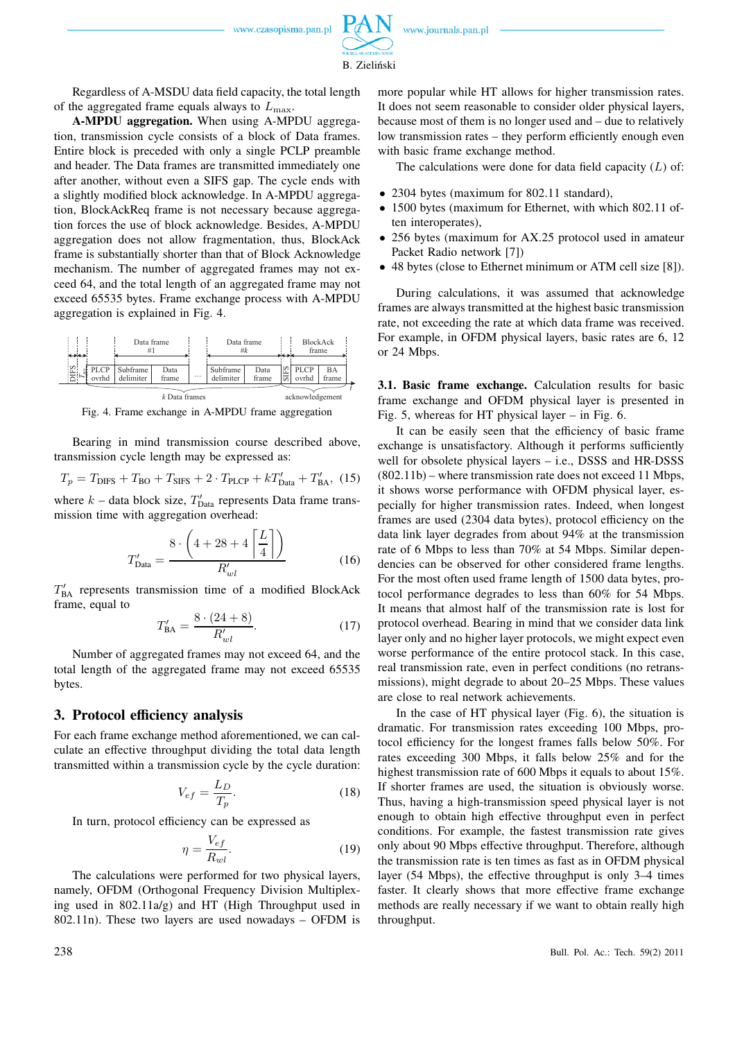

B. Zieliński

Regardless of A-MSDU data field capacity, the total length of the aggregated frame equals always to  $L_{\text{max}}$ .

**A-MPDU aggregation.** When using A-MPDU aggregation, transmission cycle consists of a block of Data frames. Entire block is preceded with only a single PCLP preamble and header. The Data frames are transmitted immediately one after another, without even a SIFS gap. The cycle ends with a slightly modified block acknowledge. In A-MPDU aggregation, BlockAckReq frame is not necessary because aggregation forces the use of block acknowledge. Besides, A-MPDU aggregation does not allow fragmentation, thus, BlockAck frame is substantially shorter than that of Block Acknowledge mechanism. The number of aggregated frames may not exceed 64, and the total length of an aggregated frame may not exceed 65535 bytes. Frame exchange process with A-MPDU aggregation is explained in Fig. 4.



Fig. 4. Frame exchange in A-MPDU frame aggregation

Bearing in mind transmission course described above, transmission cycle length may be expressed as:

$$
T_p = T_{\text{DIFS}} + T_{\text{BO}} + T_{\text{SIFS}} + 2 \cdot T_{\text{PLCP}} + kT'_{\text{Data}} + T'_{\text{BA}}, (15)
$$

where  $k$  – data block size,  $T'_{\text{Data}}$  represents Data frame transmission time with aggregation overhead:

$$
T'_{\text{Data}} = \frac{8 \cdot \left(4 + 28 + 4\left\lceil \frac{L}{4} \right\rceil\right)}{R'_{wl}}
$$
(16)

 $T'_{BA}$  represents transmission time of a modified BlockAck frame, equal to

$$
T'_{BA} = \frac{8 \cdot (24 + 8)}{R'_{wl}}.\tag{17}
$$

Number of aggregated frames may not exceed 64, and the total length of the aggregated frame may not exceed 65535 bytes.

#### **3. Protocol efficiency analysis**

For each frame exchange method aforementioned, we can calculate an effective throughput dividing the total data length transmitted within a transmission cycle by the cycle duration:

$$
V_{ef} = \frac{L_D}{T_p}.\tag{18}
$$

In turn, protocol efficiency can be expressed as

$$
\eta = \frac{V_{ef}}{R_{wl}}.\tag{19}
$$

The calculations were performed for two physical layers, namely, OFDM (Orthogonal Frequency Division Multiplexing used in 802.11a/g) and HT (High Throughput used in 802.11n). These two layers are used nowadays – OFDM is more popular while HT allows for higher transmission rates. It does not seem reasonable to consider older physical layers, because most of them is no longer used and – due to relatively low transmission rates – they perform efficiently enough even with basic frame exchange method.

The calculations were done for data field capacity  $(L)$  of:

- 2304 bytes (maximum for 802.11 standard),
- 1500 bytes (maximum for Ethernet, with which 802.11 often interoperates),
- 256 bytes (maximum for AX.25 protocol used in amateur Packet Radio network [7])
- 48 bytes (close to Ethernet minimum or ATM cell size [8]).

During calculations, it was assumed that acknowledge frames are always transmitted at the highest basic transmission rate, not exceeding the rate at which data frame was received. For example, in OFDM physical layers, basic rates are 6, 12 or 24 Mbps.

**3.1. Basic frame exchange.** Calculation results for basic frame exchange and OFDM physical layer is presented in Fig. 5, whereas for HT physical layer – in Fig. 6.

It can be easily seen that the efficiency of basic frame exchange is unsatisfactory. Although it performs sufficiently well for obsolete physical layers – i.e., DSSS and HR-DSSS (802.11b) – where transmission rate does not exceed 11 Mbps, it shows worse performance with OFDM physical layer, especially for higher transmission rates. Indeed, when longest frames are used (2304 data bytes), protocol efficiency on the data link layer degrades from about 94% at the transmission rate of 6 Mbps to less than 70% at 54 Mbps. Similar dependencies can be observed for other considered frame lengths. For the most often used frame length of 1500 data bytes, protocol performance degrades to less than 60% for 54 Mbps. It means that almost half of the transmission rate is lost for protocol overhead. Bearing in mind that we consider data link layer only and no higher layer protocols, we might expect even worse performance of the entire protocol stack. In this case, real transmission rate, even in perfect conditions (no retransmissions), might degrade to about 20–25 Mbps. These values are close to real network achievements.

In the case of HT physical layer (Fig. 6), the situation is dramatic. For transmission rates exceeding 100 Mbps, protocol efficiency for the longest frames falls below 50%. For rates exceeding 300 Mbps, it falls below 25% and for the highest transmission rate of 600 Mbps it equals to about 15%. If shorter frames are used, the situation is obviously worse. Thus, having a high-transmission speed physical layer is not enough to obtain high effective throughput even in perfect conditions. For example, the fastest transmission rate gives only about 90 Mbps effective throughput. Therefore, although the transmission rate is ten times as fast as in OFDM physical layer (54 Mbps), the effective throughput is only 3–4 times faster. It clearly shows that more effective frame exchange methods are really necessary if we want to obtain really high throughput.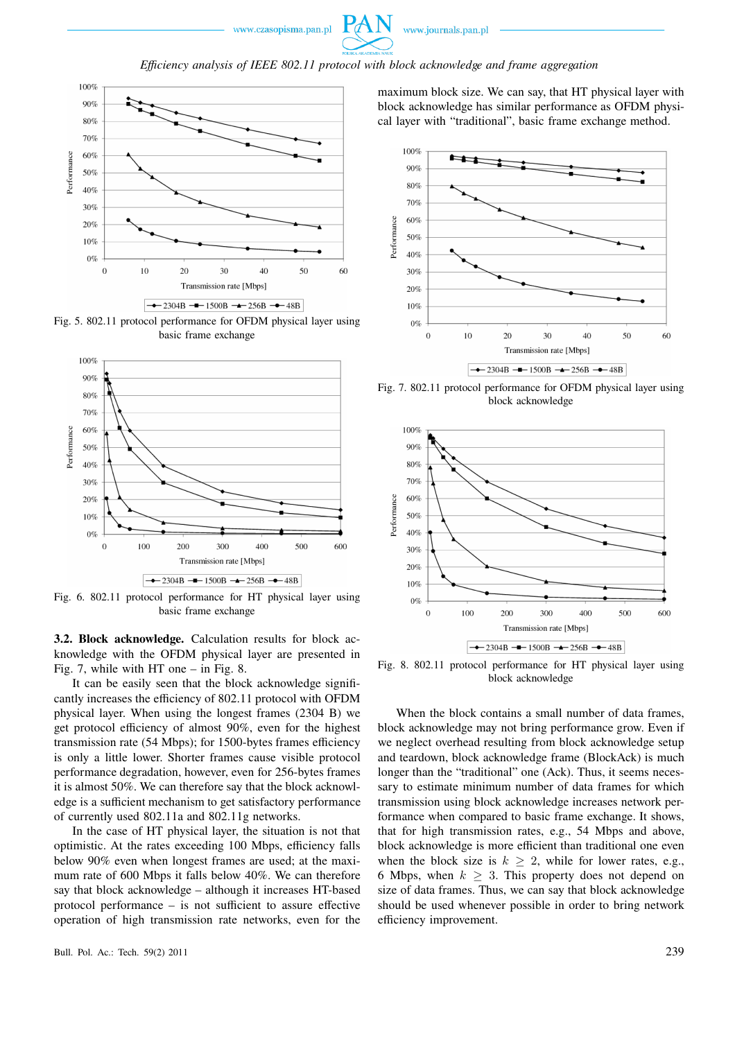

#### *Efficiency analysis of IEEE 802.11 protocol with block acknowledge and frame aggregation*



Fig. 5. 802.11 protocol performance for OFDM physical layer using basic frame exchange



Fig. 6. 802.11 protocol performance for HT physical layer using basic frame exchange

**3.2. Block acknowledge.** Calculation results for block acknowledge with the OFDM physical layer are presented in Fig. 7, while with HT one – in Fig. 8.

It can be easily seen that the block acknowledge significantly increases the efficiency of 802.11 protocol with OFDM physical layer. When using the longest frames (2304 B) we get protocol efficiency of almost 90%, even for the highest transmission rate (54 Mbps); for 1500-bytes frames efficiency is only a little lower. Shorter frames cause visible protocol performance degradation, however, even for 256-bytes frames it is almost 50%. We can therefore say that the block acknowledge is a sufficient mechanism to get satisfactory performance of currently used 802.11a and 802.11g networks.

In the case of HT physical layer, the situation is not that optimistic. At the rates exceeding 100 Mbps, efficiency falls below 90% even when longest frames are used; at the maximum rate of 600 Mbps it falls below 40%. We can therefore say that block acknowledge – although it increases HT-based protocol performance – is not sufficient to assure effective operation of high transmission rate networks, even for the

maximum block size. We can say, that HT physical layer with block acknowledge has similar performance as OFDM physical layer with "traditional", basic frame exchange method.



Fig. 7. 802.11 protocol performance for OFDM physical layer using block acknowledge



Fig. 8. 802.11 protocol performance for HT physical layer using block acknowledge

When the block contains a small number of data frames, block acknowledge may not bring performance grow. Even if we neglect overhead resulting from block acknowledge setup and teardown, block acknowledge frame (BlockAck) is much longer than the "traditional" one (Ack). Thus, it seems necessary to estimate minimum number of data frames for which transmission using block acknowledge increases network performance when compared to basic frame exchange. It shows, that for high transmission rates, e.g., 54 Mbps and above, block acknowledge is more efficient than traditional one even when the block size is  $k \geq 2$ , while for lower rates, e.g., 6 Mbps, when  $k \geq 3$ . This property does not depend on size of data frames. Thus, we can say that block acknowledge should be used whenever possible in order to bring network efficiency improvement.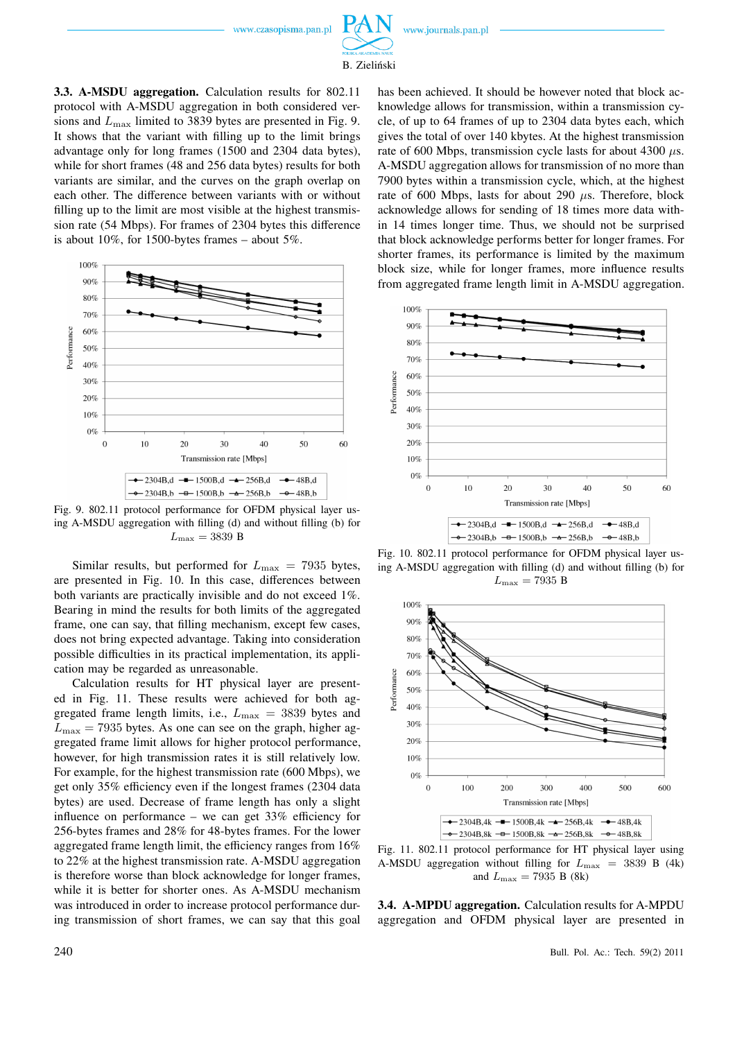

B. Zieliński

**3.3. A-MSDU aggregation.** Calculation results for 802.11 protocol with A-MSDU aggregation in both considered versions and  $L_{\text{max}}$  limited to 3839 bytes are presented in Fig. 9. It shows that the variant with filling up to the limit brings advantage only for long frames (1500 and 2304 data bytes), while for short frames (48 and 256 data bytes) results for both variants are similar, and the curves on the graph overlap on each other. The difference between variants with or without filling up to the limit are most visible at the highest transmission rate (54 Mbps). For frames of 2304 bytes this difference is about 10%, for 1500-bytes frames – about  $5\%$ .



Fig. 9. 802.11 protocol performance for OFDM physical layer using A-MSDU aggregation with filling (d) and without filling (b) for  $L_{\text{max}} = 3839 \text{ B}$ 

Similar results, but performed for  $L_{\text{max}} = 7935$  bytes, are presented in Fig. 10. In this case, differences between both variants are practically invisible and do not exceed 1%. Bearing in mind the results for both limits of the aggregated frame, one can say, that filling mechanism, except few cases, does not bring expected advantage. Taking into consideration possible difficulties in its practical implementation, its application may be regarded as unreasonable.

Calculation results for HT physical layer are presented in Fig. 11. These results were achieved for both aggregated frame length limits, i.e.,  $L_{\text{max}} = 3839$  bytes and  $L_{\text{max}} = 7935$  bytes. As one can see on the graph, higher aggregated frame limit allows for higher protocol performance, however, for high transmission rates it is still relatively low. For example, for the highest transmission rate (600 Mbps), we get only 35% efficiency even if the longest frames (2304 data bytes) are used. Decrease of frame length has only a slight influence on performance – we can get 33% efficiency for 256-bytes frames and 28% for 48-bytes frames. For the lower aggregated frame length limit, the efficiency ranges from 16% to 22% at the highest transmission rate. A-MSDU aggregation is therefore worse than block acknowledge for longer frames, while it is better for shorter ones. As A-MSDU mechanism was introduced in order to increase protocol performance during transmission of short frames, we can say that this goal has been achieved. It should be however noted that block acknowledge allows for transmission, within a transmission cycle, of up to 64 frames of up to 2304 data bytes each, which gives the total of over 140 kbytes. At the highest transmission rate of 600 Mbps, transmission cycle lasts for about 4300  $\mu$ s. A-MSDU aggregation allows for transmission of no more than 7900 bytes within a transmission cycle, which, at the highest rate of 600 Mbps, lasts for about 290  $\mu$ s. Therefore, block acknowledge allows for sending of 18 times more data within 14 times longer time. Thus, we should not be surprised that block acknowledge performs better for longer frames. For shorter frames, its performance is limited by the maximum block size, while for longer frames, more influence results from aggregated frame length limit in A-MSDU aggregation.



Fig. 10. 802.11 protocol performance for OFDM physical layer using A-MSDU aggregation with filling (d) and without filling (b) for  $L_{\text{max}} = 7935 \text{ B}$ 



Fig. 11. 802.11 protocol performance for HT physical layer using A-MSDU aggregation without filling for  $L_{\text{max}} = 3839 \text{ B}$  (4k) and  $L_{\text{max}} = 7935 \text{ B} (8k)$ 

**3.4. A-MPDU aggregation.** Calculation results for A-MPDU aggregation and OFDM physical layer are presented in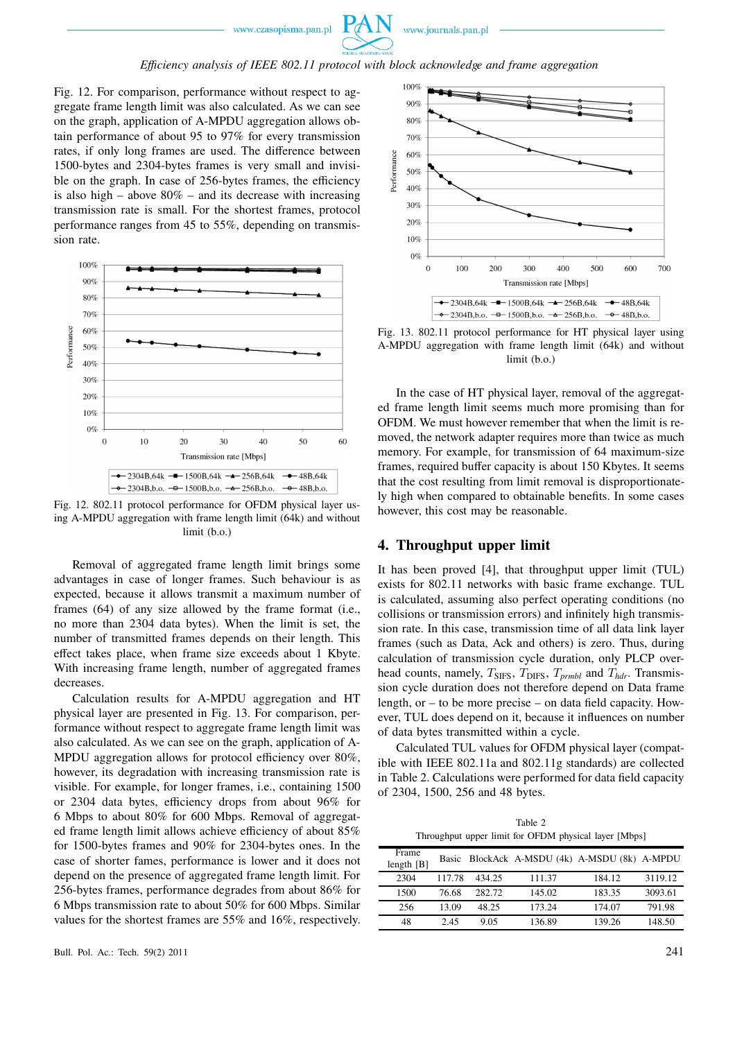

*Efficiency analysis of IEEE 802.11 protocol with block acknowledge and frame aggregation*

 $PA$ 

Fig. 12. For comparison, performance without respect to aggregate frame length limit was also calculated. As we can see on the graph, application of A-MPDU aggregation allows obtain performance of about 95 to 97% for every transmission rates, if only long frames are used. The difference between 1500-bytes and 2304-bytes frames is very small and invisible on the graph. In case of 256-bytes frames, the efficiency is also high – above  $80\%$  – and its decrease with increasing transmission rate is small. For the shortest frames, protocol performance ranges from 45 to 55%, depending on transmission rate.



Fig. 12. 802.11 protocol performance for OFDM physical layer using A-MPDU aggregation with frame length limit (64k) and without limit (b.o.)

Removal of aggregated frame length limit brings some advantages in case of longer frames. Such behaviour is as expected, because it allows transmit a maximum number of frames (64) of any size allowed by the frame format (i.e., no more than 2304 data bytes). When the limit is set, the number of transmitted frames depends on their length. This effect takes place, when frame size exceeds about 1 Kbyte. With increasing frame length, number of aggregated frames decreases.

Calculation results for A-MPDU aggregation and HT physical layer are presented in Fig. 13. For comparison, performance without respect to aggregate frame length limit was also calculated. As we can see on the graph, application of A-MPDU aggregation allows for protocol efficiency over 80%, however, its degradation with increasing transmission rate is visible. For example, for longer frames, i.e., containing 1500 or 2304 data bytes, efficiency drops from about 96% for 6 Mbps to about 80% for 600 Mbps. Removal of aggregated frame length limit allows achieve efficiency of about 85% for 1500-bytes frames and 90% for 2304-bytes ones. In the case of shorter fames, performance is lower and it does not depend on the presence of aggregated frame length limit. For 256-bytes frames, performance degrades from about 86% for 6 Mbps transmission rate to about 50% for 600 Mbps. Similar values for the shortest frames are 55% and 16%, respectively.



Fig. 13. 802.11 protocol performance for HT physical layer using A-MPDU aggregation with frame length limit (64k) and without limit (b.o.)

In the case of HT physical layer, removal of the aggregated frame length limit seems much more promising than for OFDM. We must however remember that when the limit is removed, the network adapter requires more than twice as much memory. For example, for transmission of 64 maximum-size frames, required buffer capacity is about 150 Kbytes. It seems that the cost resulting from limit removal is disproportionately high when compared to obtainable benefits. In some cases however, this cost may be reasonable.

### **4. Throughput upper limit**

It has been proved [4], that throughput upper limit (TUL) exists for 802.11 networks with basic frame exchange. TUL is calculated, assuming also perfect operating conditions (no collisions or transmission errors) and infinitely high transmission rate. In this case, transmission time of all data link layer frames (such as Data, Ack and others) is zero. Thus, during calculation of transmission cycle duration, only PLCP overhead counts, namely,  $T_{\text{SIFS}}, T_{\text{DIFS}}, T_{\text{prmbl}}$  and  $T_{\text{hdr}}$ . Transmission cycle duration does not therefore depend on Data frame length, or – to be more precise – on data field capacity. However, TUL does depend on it, because it influences on number of data bytes transmitted within a cycle.

Calculated TUL values for OFDM physical layer (compatible with IEEE 802.11a and 802.11g standards) are collected in Table 2. Calculations were performed for data field capacity of 2304, 1500, 256 and 48 bytes.

Table 2 Throughput upper limit for OFDM physical layer [Mbps]

| Frame<br>length $[B]$ |        |        | Basic BlockAck A-MSDU (4k) A-MSDU (8k) A-MPDU |        |         |
|-----------------------|--------|--------|-----------------------------------------------|--------|---------|
| 2304                  | 117.78 | 434.25 | 111.37                                        | 184.12 | 3119.12 |
| 1500                  | 76.68  | 282.72 | 145.02                                        | 183.35 | 3093.61 |
| 256                   | 13.09  | 48.25  | 173.24                                        | 174.07 | 791.98  |
| 48                    | 2.45   | 9.05   | 136.89                                        | 139.26 | 148.50  |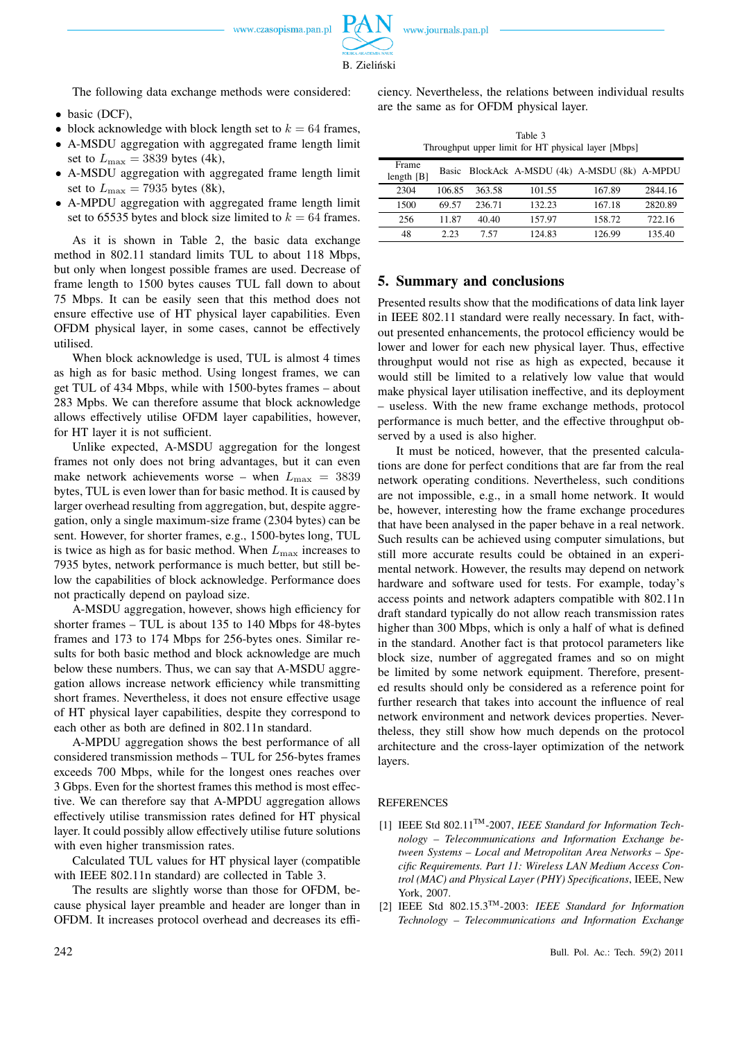

B. Zieliński

The following data exchange methods were considered:

- basic (DCF),
- block acknowledge with block length set to  $k = 64$  frames,
- A-MSDU aggregation with aggregated frame length limit set to  $L_{\text{max}} = 3839$  bytes (4k),
- A-MSDU aggregation with aggregated frame length limit set to  $L_{\text{max}} = 7935$  bytes (8k),
- A-MPDU aggregation with aggregated frame length limit set to 65535 bytes and block size limited to  $k = 64$  frames.

As it is shown in Table 2, the basic data exchange method in 802.11 standard limits TUL to about 118 Mbps, but only when longest possible frames are used. Decrease of frame length to 1500 bytes causes TUL fall down to about 75 Mbps. It can be easily seen that this method does not ensure effective use of HT physical layer capabilities. Even OFDM physical layer, in some cases, cannot be effectively utilised.

When block acknowledge is used, TUL is almost 4 times as high as for basic method. Using longest frames, we can get TUL of 434 Mbps, while with 1500-bytes frames – about 283 Mpbs. We can therefore assume that block acknowledge allows effectively utilise OFDM layer capabilities, however, for HT layer it is not sufficient.

Unlike expected, A-MSDU aggregation for the longest frames not only does not bring advantages, but it can even make network achievements worse – when  $L_{\text{max}} = 3839$ bytes, TUL is even lower than for basic method. It is caused by larger overhead resulting from aggregation, but, despite aggregation, only a single maximum-size frame (2304 bytes) can be sent. However, for shorter frames, e.g., 1500-bytes long, TUL is twice as high as for basic method. When  $L_{\text{max}}$  increases to 7935 bytes, network performance is much better, but still below the capabilities of block acknowledge. Performance does not practically depend on payload size.

A-MSDU aggregation, however, shows high efficiency for shorter frames – TUL is about 135 to 140 Mbps for 48-bytes frames and 173 to 174 Mbps for 256-bytes ones. Similar results for both basic method and block acknowledge are much below these numbers. Thus, we can say that A-MSDU aggregation allows increase network efficiency while transmitting short frames. Nevertheless, it does not ensure effective usage of HT physical layer capabilities, despite they correspond to each other as both are defined in 802.11n standard.

A-MPDU aggregation shows the best performance of all considered transmission methods – TUL for 256-bytes frames exceeds 700 Mbps, while for the longest ones reaches over 3 Gbps. Even for the shortest frames this method is most effective. We can therefore say that A-MPDU aggregation allows effectively utilise transmission rates defined for HT physical layer. It could possibly allow effectively utilise future solutions with even higher transmission rates.

Calculated TUL values for HT physical layer (compatible with IEEE 802.11n standard) are collected in Table 3.

The results are slightly worse than those for OFDM, because physical layer preamble and header are longer than in OFDM. It increases protocol overhead and decreases its efficiency. Nevertheless, the relations between individual results are the same as for OFDM physical layer.

| Table 3                                             |  |
|-----------------------------------------------------|--|
| Throughput upper limit for HT physical layer [Mbps] |  |

| Frame<br>length $[B]$ |        |        | Basic BlockAck A-MSDU (4k) A-MSDU (8k) A-MPDU |        |         |
|-----------------------|--------|--------|-----------------------------------------------|--------|---------|
| 2304                  | 106.85 | 363.58 | 101.55                                        | 167.89 | 2844.16 |
| 1500                  | 69.57  | 236.71 | 132.23                                        | 167.18 | 2820.89 |
| 256                   | 11.87  | 40.40  | 157.97                                        | 158.72 | 722.16  |
| 48                    | 223    | 7 57   | 124.83                                        | 126.99 | 135.40  |

## **5. Summary and conclusions**

Presented results show that the modifications of data link layer in IEEE 802.11 standard were really necessary. In fact, without presented enhancements, the protocol efficiency would be lower and lower for each new physical layer. Thus, effective throughput would not rise as high as expected, because it would still be limited to a relatively low value that would make physical layer utilisation ineffective, and its deployment – useless. With the new frame exchange methods, protocol performance is much better, and the effective throughput observed by a used is also higher.

It must be noticed, however, that the presented calculations are done for perfect conditions that are far from the real network operating conditions. Nevertheless, such conditions are not impossible, e.g., in a small home network. It would be, however, interesting how the frame exchange procedures that have been analysed in the paper behave in a real network. Such results can be achieved using computer simulations, but still more accurate results could be obtained in an experimental network. However, the results may depend on network hardware and software used for tests. For example, today's access points and network adapters compatible with 802.11n draft standard typically do not allow reach transmission rates higher than 300 Mbps, which is only a half of what is defined in the standard. Another fact is that protocol parameters like block size, number of aggregated frames and so on might be limited by some network equipment. Therefore, presented results should only be considered as a reference point for further research that takes into account the influence of real network environment and network devices properties. Nevertheless, they still show how much depends on the protocol architecture and the cross-layer optimization of the network layers.

#### **REFERENCES**

- [1] IEEE Std 802.11TM-2007, *IEEE Standard for Information Technology – Telecommunications and Information Exchange between Systems – Local and Metropolitan Area Networks – Specific Requirements. Part 11: Wireless LAN Medium Access Control (MAC) and Physical Layer (PHY) Specifications*, IEEE, New York, 2007.
- [2] IEEE Std 802.15.3TM-2003: *IEEE Standard for Information Technology – Telecommunications and Information Exchange*